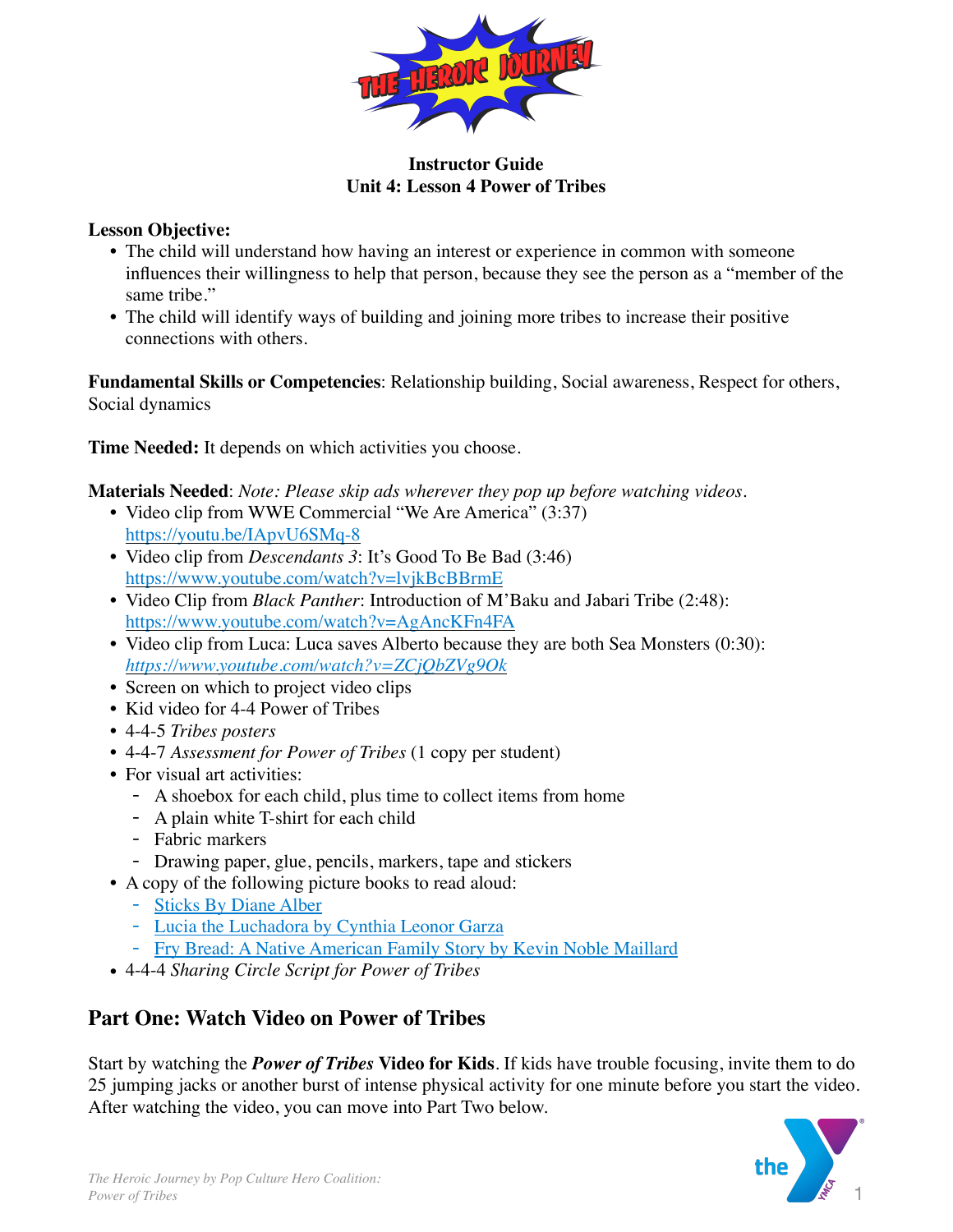

# **Instructor Guide Unit 4: Lesson 4 Power of Tribes**

# **Lesson Objective:**

- The child will understand how having an interest or experience in common with someone influences their willingness to help that person, because they see the person as a "member of the same tribe."
- The child will identify ways of building and joining more tribes to increase their positive connections with others.

**Fundamental Skills or Competencies**: Relationship building, Social awareness, Respect for others, Social dynamics

**Time Needed:** It depends on which activities you choose.

**Materials Needed**: *Note: Please skip ads wherever they pop up before watching videos*.

- Video clip from WWE Commercial "We Are America" (3:37) <https://youtu.be/IApvU6SMq-8>
- Video clip from *Descendants 3*: It's Good To Be Bad (3:46) <https://www.youtube.com/watch?v=lvjkBcBBrmE>
- Video Clip from *Black Panther*: Introduction of M'Baku and Jabari Tribe (2:48): <https://www.youtube.com/watch?v=AgAncKFn4FA>
- Video clip from Luca: Luca saves Alberto because they are both Sea Monsters (0:30): *<https://www.youtube.com/watch?v=ZCjQbZVg9Ok>*
- Screen on which to project video clips
- Kid video for 4-4 Power of Tribes
- *•* 4-4-5 *Tribes posters*
- *•* 4-4-7 *Assessment for Power of Tribes* (1 copy per student)
- For visual art activities:
	- A shoebox for each child, plus time to collect items from home
	- A plain white T-shirt for each child
	- Fabric markers
	- Drawing paper, glue, pencils, markers, tape and stickers
- A copy of the following picture books to read aloud:
	- [Sticks By Diane Alber](https://www.amazon.com/dp/1732934614/ref=sspa_dk_detail_1?psc=1&pd_rd_i=1732934614&pd_rd_w=ZDjym&pf_rd_p=7d37a48b-2b1a-4373-8c1a-bdcc5da66be9&pd_rd_wg=w2J1n&pf_rd_r=WK4F82WPTYB2TER)
	- [Lucia the Luchadora by Cynthia Leonor Garza](https://www.amazon.com/Lucia-Luchadora-Cynthia-Leonor-Garza/dp/1576878279/ref=sr_1_3?crid=1M5C0NTWL077F&dchild=1&keywords=latino+heroes+book+for+kids&qid=1610502411&sprefix=latino+heroes%2Caps%2C195&sr=8-3)
	- [Fry Bread: A Native American Family Story by Kevin Noble Maillard](https://www.amazon.com/Fry-Bread-Native-American-Family/dp/1626727465/ref=pd_bxgy_img_2/144-2974703-8248421?_encoding=UTF8&pd_rd_i=1626727465&pd_rd_r=c47c0d14-e3f2-4f45-849f-499820981545&pd_rd_w=9opIh&pd_rd_wg=hqSgY&pf_rd_p=f325d01c-4)
- 4-4-4 *Sharing Circle Script for Power of Tribes*

# **Part One: Watch Video on Power of Tribes**

Start by watching the *Power of Tribes* **Video for Kids**. If kids have trouble focusing, invite them to do 25 jumping jacks or another burst of intense physical activity for one minute before you start the video. After watching the video, you can move into Part Two below.

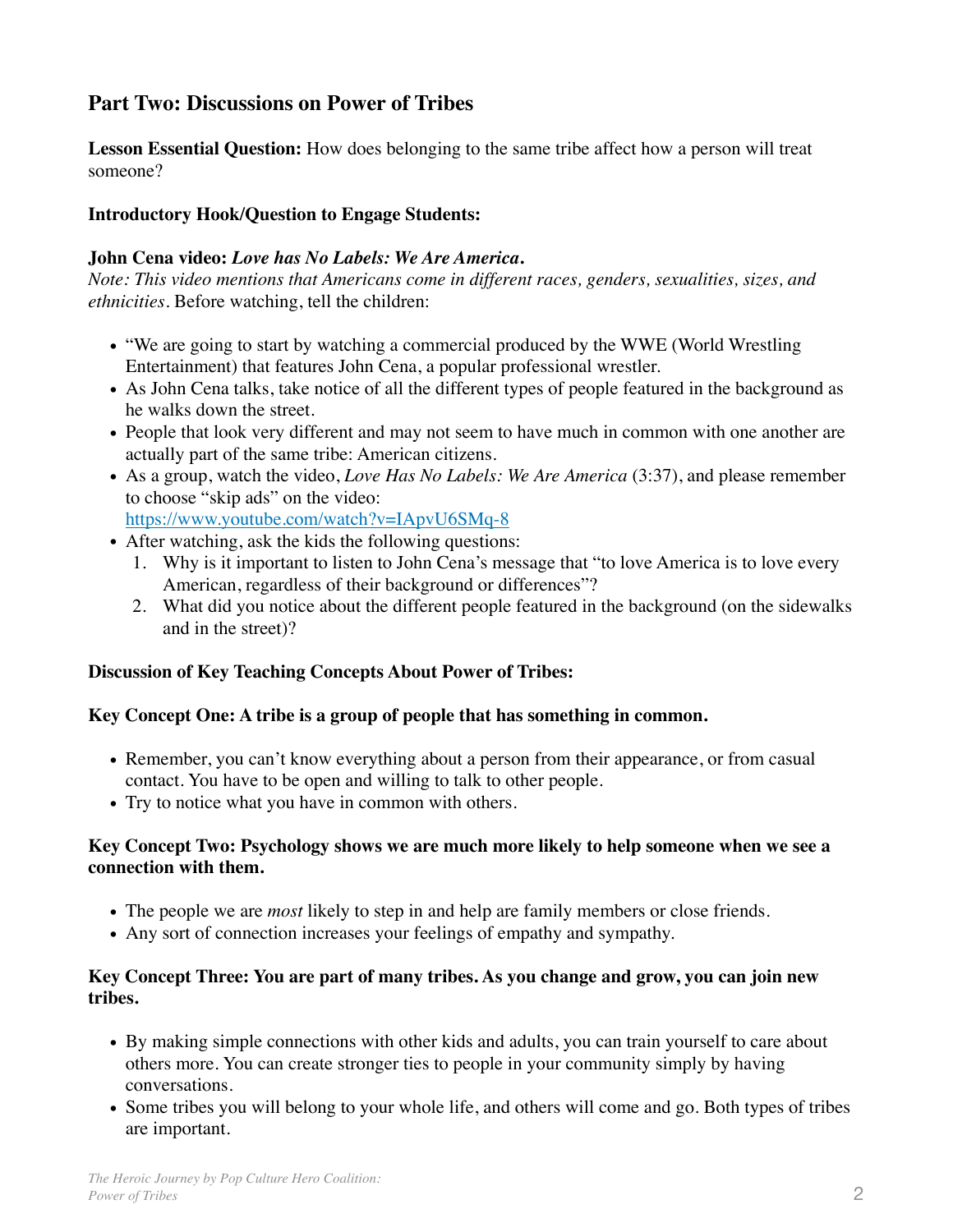# **Part Two: Discussions on Power of Tribes**

**Lesson Essential Question:** How does belonging to the same tribe affect how a person will treat someone?

## **Introductory Hook/Question to Engage Students:**

## **John Cena video:** *Love has No Labels: We Are America***.**

*Note: This video mentions that Americans come in different races, genders, sexualities, sizes, and ethnicities.* Before watching, tell the children:

- "We are going to start by watching a commercial produced by the WWE (World Wrestling Entertainment) that features John Cena, a popular professional wrestler.
- As John Cena talks, take notice of all the different types of people featured in the background as he walks down the street.
- People that look very different and may not seem to have much in common with one another are actually part of the same tribe: American citizens.
- As a group, watch the video, *Love Has No Labels: We Are America* (3:37), and please remember to choose "skip ads" on the video: <https://www.youtube.com/watch?v=IApvU6SMq-8>
- After watching, ask the kids the following questions:
	- 1. Why is it important to listen to John Cena's message that "to love America is to love every American, regardless of their background or differences"?
	- 2. What did you notice about the different people featured in the background (on the sidewalks and in the street)?

## **Discussion of Key Teaching Concepts About Power of Tribes:**

## **Key Concept One: A tribe is a group of people that has something in common.**

- Remember, you can't know everything about a person from their appearance, or from casual contact. You have to be open and willing to talk to other people.
- Try to notice what you have in common with others.

# **Key Concept Two: Psychology shows we are much more likely to help someone when we see a connection with them.**

- The people we are *most* likely to step in and help are family members or close friends.
- Any sort of connection increases your feelings of empathy and sympathy.

# **Key Concept Three: You are part of many tribes. As you change and grow, you can join new tribes.**

- By making simple connections with other kids and adults, you can train yourself to care about others more. You can create stronger ties to people in your community simply by having conversations.
- Some tribes you will belong to your whole life, and others will come and go. Both types of tribes are important.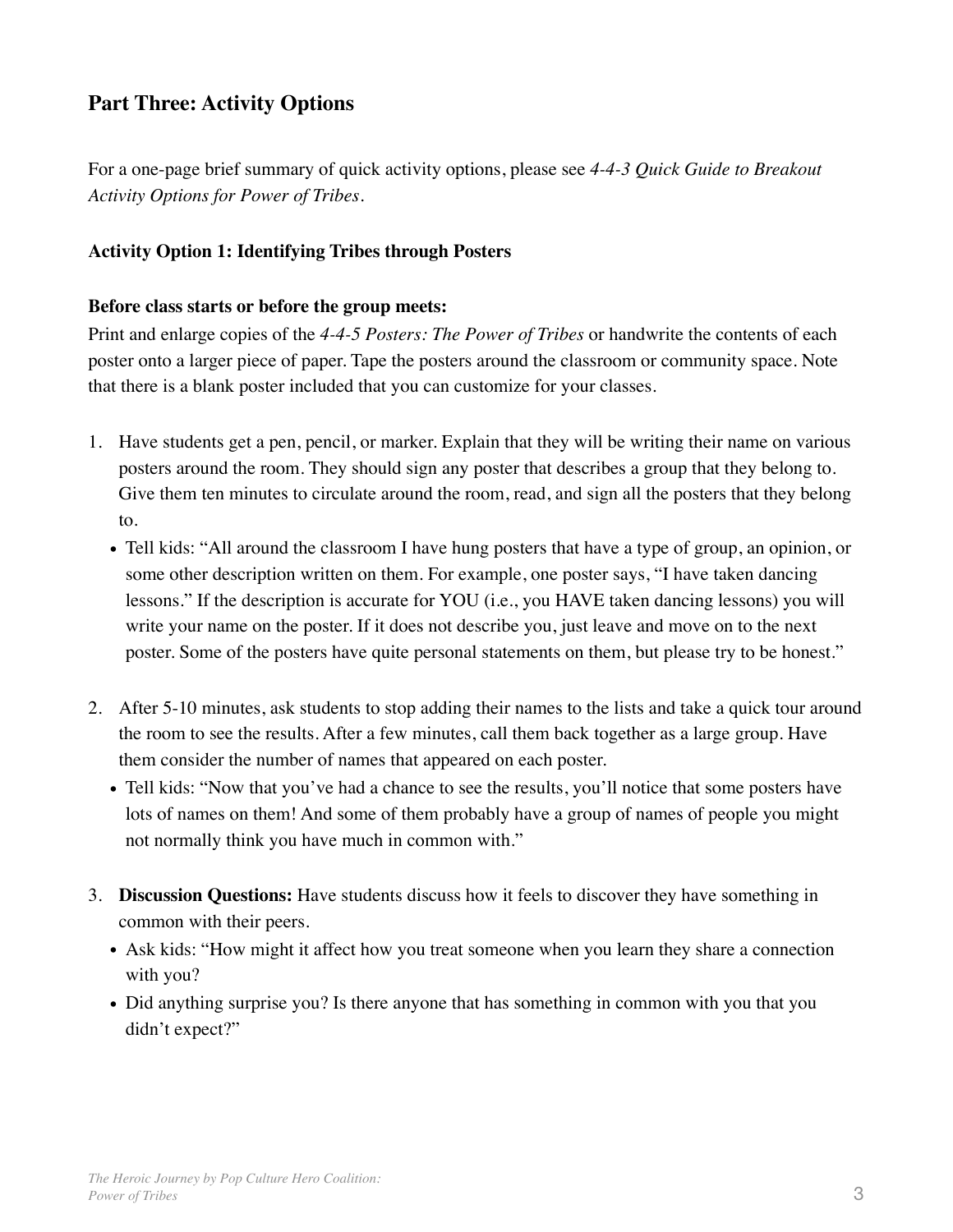# **Part Three: Activity Options**

For a one-page brief summary of quick activity options, please see *4-4-3 Quick Guide to Breakout Activity Options for Power of Tribes.*

# **Activity Option 1: Identifying Tribes through Posters**

#### **Before class starts or before the group meets:**

Print and enlarge copies of the *4-4-5 Posters: The Power of Tribes* or handwrite the contents of each poster onto a larger piece of paper. Tape the posters around the classroom or community space. Note that there is a blank poster included that you can customize for your classes.

- 1. Have students get a pen, pencil, or marker. Explain that they will be writing their name on various posters around the room. They should sign any poster that describes a group that they belong to. Give them ten minutes to circulate around the room, read, and sign all the posters that they belong to.
	- Tell kids: "All around the classroom I have hung posters that have a type of group, an opinion, or some other description written on them. For example, one poster says, "I have taken dancing lessons." If the description is accurate for YOU (i.e., you HAVE taken dancing lessons) you will write your name on the poster. If it does not describe you, just leave and move on to the next poster. Some of the posters have quite personal statements on them, but please try to be honest."
- 2. After 5-10 minutes, ask students to stop adding their names to the lists and take a quick tour around the room to see the results. After a few minutes, call them back together as a large group. Have them consider the number of names that appeared on each poster.
	- Tell kids: "Now that you've had a chance to see the results, you'll notice that some posters have lots of names on them! And some of them probably have a group of names of people you might not normally think you have much in common with."
- 3. **Discussion Questions:** Have students discuss how it feels to discover they have something in common with their peers.
	- Ask kids: "How might it affect how you treat someone when you learn they share a connection with you?
	- Did anything surprise you? Is there anyone that has something in common with you that you didn't expect?"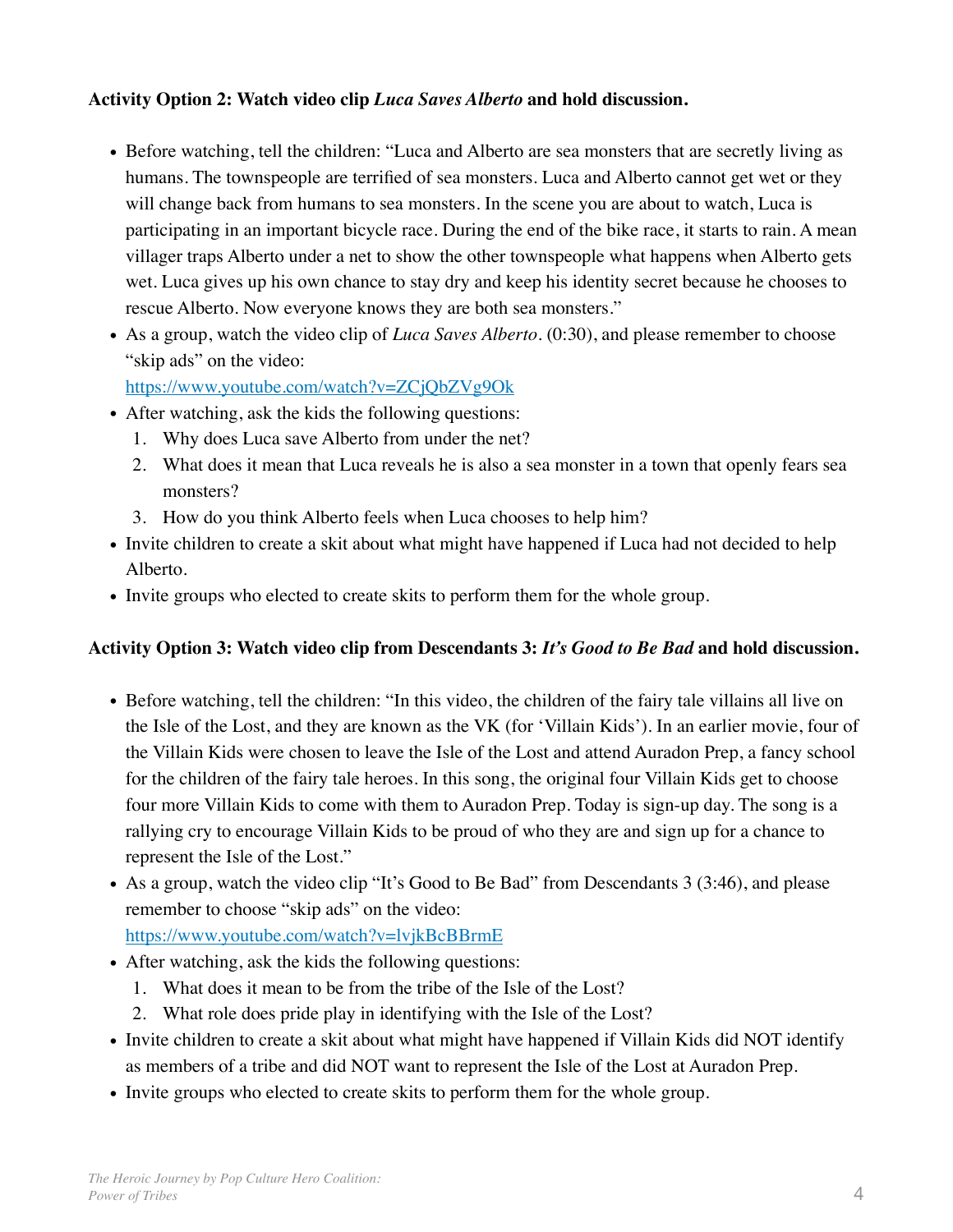# **Activity Option 2: Watch video clip** *Luca Saves Alberto* **and hold discussion.**

- Before watching, tell the children: "Luca and Alberto are sea monsters that are secretly living as humans. The townspeople are terrified of sea monsters. Luca and Alberto cannot get wet or they will change back from humans to sea monsters. In the scene you are about to watch, Luca is participating in an important bicycle race. During the end of the bike race, it starts to rain. A mean villager traps Alberto under a net to show the other townspeople what happens when Alberto gets wet. Luca gives up his own chance to stay dry and keep his identity secret because he chooses to rescue Alberto. Now everyone knows they are both sea monsters."
- As a group, watch the video clip of *Luca Saves Alberto*. (0:30), and please remember to choose "skip ads" on the video:

<https://www.youtube.com/watch?v=ZCjQbZVg9Ok>

- After watching, ask the kids the following questions:
	- 1. Why does Luca save Alberto from under the net?
	- 2. What does it mean that Luca reveals he is also a sea monster in a town that openly fears sea monsters?
	- 3. How do you think Alberto feels when Luca chooses to help him?
- Invite children to create a skit about what might have happened if Luca had not decided to help Alberto.
- Invite groups who elected to create skits to perform them for the whole group.

## **Activity Option 3: Watch video clip from Descendants 3:** *It's Good to Be Bad* **and hold discussion.**

- Before watching, tell the children: "In this video, the children of the fairy tale villains all live on the Isle of the Lost, and they are known as the VK (for 'Villain Kids'). In an earlier movie, four of the Villain Kids were chosen to leave the Isle of the Lost and attend Auradon Prep, a fancy school for the children of the fairy tale heroes. In this song, the original four Villain Kids get to choose four more Villain Kids to come with them to Auradon Prep. Today is sign-up day. The song is a rallying cry to encourage Villain Kids to be proud of who they are and sign up for a chance to represent the Isle of the Lost."
- As a group, watch the video clip "It's Good to Be Bad" from Descendants 3 (3:46), and please remember to choose "skip ads" on the video:

<https://www.youtube.com/watch?v=lvjkBcBBrmE>

- After watching, ask the kids the following questions:
	- 1. What does it mean to be from the tribe of the Isle of the Lost?
	- 2. What role does pride play in identifying with the Isle of the Lost?
- Invite children to create a skit about what might have happened if Villain Kids did NOT identify as members of a tribe and did NOT want to represent the Isle of the Lost at Auradon Prep.
- Invite groups who elected to create skits to perform them for the whole group.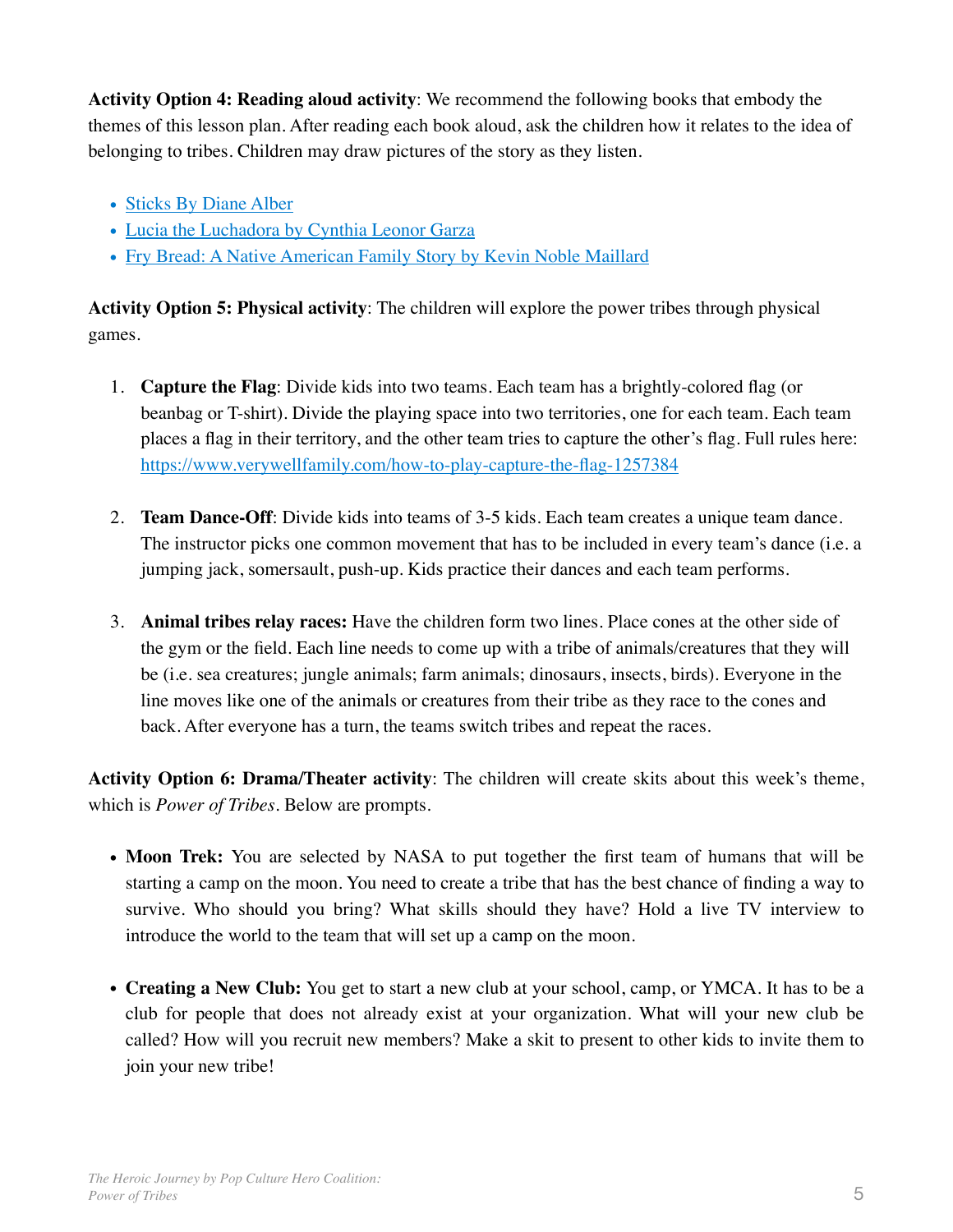**Activity Option 4: Reading aloud activity**: We recommend the following books that embody the themes of this lesson plan. After reading each book aloud, ask the children how it relates to the idea of belonging to tribes. Children may draw pictures of the story as they listen.

- [Sticks By Diane Alber](https://www.amazon.com/dp/1732934614/ref=sspa_dk_detail_1?psc=1&pd_rd_i=1732934614&pd_rd_w=ZDjym&pf_rd_p=7d37a48b-2b1a-4373-8c1a-bdcc5da66be9&pd_rd_wg=w2J1n&pf_rd_r=WK4F82WP)
- [Lucia the Luchadora by Cynthia Leonor Garza](https://www.amazon.com/Lucia-Luchadora-Cynthia-Leonor-Garza/dp/1576878279/ref=sr_1_3?crid=1M5C0NTWL077F&dchild=1&keywords=latino+heroes+book+for+kids&qid=1610502411&sprefix=latino+heroes,a)
- [Fry Bread: A Native American Family Story by Kevin Noble Maillard](https://www.amazon.com/Fry-Bread-Native-American-Family/dp/1626727465/ref=pd_bxgy_img_2/144-2974703-8248421?_encoding=UTF8&pd_rd_i=1626727465&pd_rd_r=c47c0d14-e3f2-4f45-849f-499820981545&pd_rd_w=9opIh&pd_rd_wg=hqSgY&pf_rd_p=f325d01c-4658-4593-)

**Activity Option 5: Physical activity**: The children will explore the power tribes through physical games.

- 1. **Capture the Flag**: Divide kids into two teams. Each team has a brightly-colored flag (or beanbag or T-shirt). Divide the playing space into two territories, one for each team. Each team places a flag in their territory, and the other team tries to capture the other's flag. Full rules here: <https://www.verywellfamily.com/how-to-play-capture-the-flag-1257384>
- 2. **Team Dance-Off**: Divide kids into teams of 3-5 kids. Each team creates a unique team dance. The instructor picks one common movement that has to be included in every team's dance (i.e. a jumping jack, somersault, push-up. Kids practice their dances and each team performs.
- 3. **Animal tribes relay races:** Have the children form two lines. Place cones at the other side of the gym or the field. Each line needs to come up with a tribe of animals/creatures that they will be (i.e. sea creatures; jungle animals; farm animals; dinosaurs, insects, birds). Everyone in the line moves like one of the animals or creatures from their tribe as they race to the cones and back. After everyone has a turn, the teams switch tribes and repeat the races.

**Activity Option 6: Drama/Theater activity**: The children will create skits about this week's theme, which is *Power of Tribes*. Below are prompts.

- **Moon Trek:** You are selected by NASA to put together the first team of humans that will be starting a camp on the moon. You need to create a tribe that has the best chance of finding a way to survive. Who should you bring? What skills should they have? Hold a live TV interview to introduce the world to the team that will set up a camp on the moon.
- **Creating a New Club:** You get to start a new club at your school, camp, or YMCA. It has to be a club for people that does not already exist at your organization. What will your new club be called? How will you recruit new members? Make a skit to present to other kids to invite them to join your new tribe!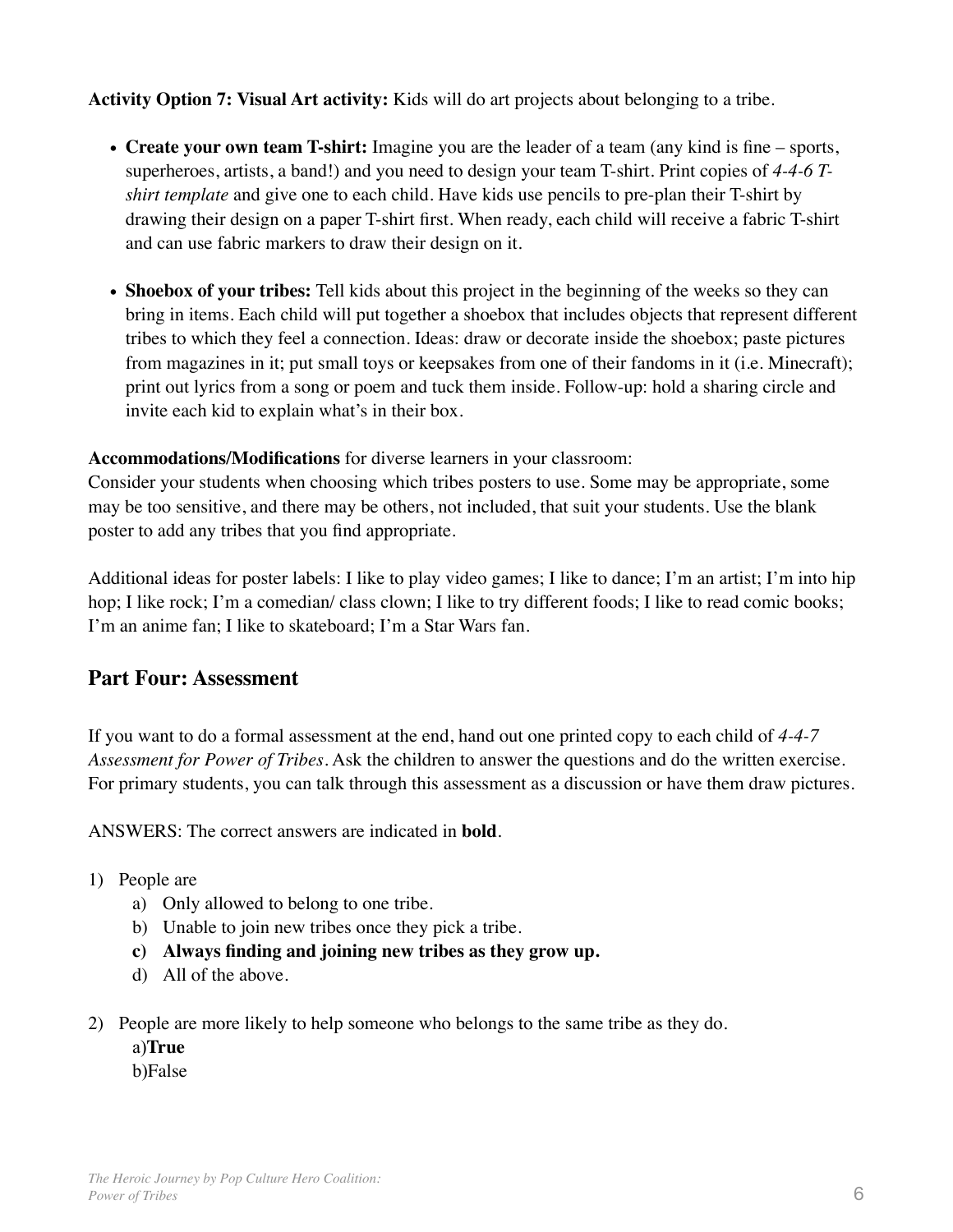**Activity Option 7: Visual Art activity:** Kids will do art projects about belonging to a tribe.

- **Create your own team T-shirt:** Imagine you are the leader of a team (any kind is fine sports, superheroes, artists, a band!) and you need to design your team T-shirt. Print copies of *4-4-6 Tshirt template* and give one to each child. Have kids use pencils to pre-plan their T-shirt by drawing their design on a paper T-shirt first. When ready, each child will receive a fabric T-shirt and can use fabric markers to draw their design on it.
- **Shoebox of your tribes:** Tell kids about this project in the beginning of the weeks so they can bring in items. Each child will put together a shoebox that includes objects that represent different tribes to which they feel a connection. Ideas: draw or decorate inside the shoebox; paste pictures from magazines in it; put small toys or keepsakes from one of their fandoms in it (i.e. Minecraft); print out lyrics from a song or poem and tuck them inside. Follow-up: hold a sharing circle and invite each kid to explain what's in their box.

# **Accommodations/Modifications** for diverse learners in your classroom:

Consider your students when choosing which tribes posters to use. Some may be appropriate, some may be too sensitive, and there may be others, not included, that suit your students. Use the blank poster to add any tribes that you find appropriate.

Additional ideas for poster labels: I like to play video games; I like to dance; I'm an artist; I'm into hip hop; I like rock; I'm a comedian/ class clown; I like to try different foods; I like to read comic books; I'm an anime fan; I like to skateboard; I'm a Star Wars fan.

# **Part Four: Assessment**

If you want to do a formal assessment at the end, hand out one printed copy to each child of *4-4-7 Assessment for Power of Tribes*. Ask the children to answer the questions and do the written exercise. For primary students, you can talk through this assessment as a discussion or have them draw pictures.

ANSWERS: The correct answers are indicated in **bold**.

- 1) People are
	- a) Only allowed to belong to one tribe.
	- b) Unable to join new tribes once they pick a tribe.
	- **c) Always finding and joining new tribes as they grow up.**
	- d) All of the above.
- 2) People are more likely to help someone who belongs to the same tribe as they do.
	- a)**True** b)False